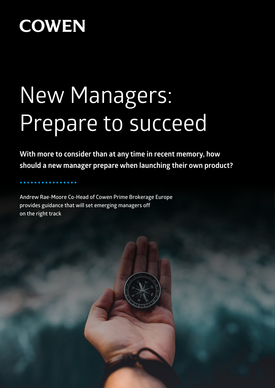# New Managers: Prepare to succeed

**With more to consider than at any time in recent memory, how should a new manager prepare when launching their own product?**

**Andrew Rae-Moore Co-Head of Cowen Prime Brokerage Europe provides guidance that will set emerging managers off on the right track**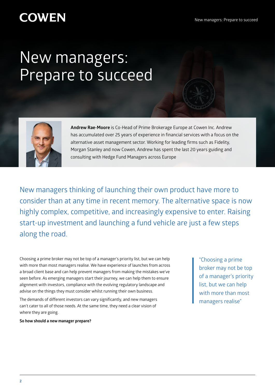## New managers: Prepare to succeed



**Andrew Rae-Moore** is Co-Head of Prime Brokerage Europe at Cowen Inc. Andrew has accumulated over 25 years of experience in financial services with a focus on the alternative asset management sector. Working for leading firms such as Fidelity, Morgan Stanley and now Cowen, Andrew has spent the last 20 years guiding and consulting with Hedge Fund Managers across Europe

New managers thinking of launching their own product have more to consider than at any time in recent memory. The alternative space is now highly complex, competitive, and increasingly expensive to enter. Raising start-up investment and launching a fund vehicle are just a few steps along the road.

Choosing a prime broker may not be top of a manager's priority list, but we can help with more than most managers realise. We have experience of launches from across a broad client base and can help prevent managers from making the mistakes we've seen before. As emerging managers start their journey, we can help them to ensure alignment with investors, compliance with the evolving regulatory landscape and advise on the things they must consider whilst running their own business.

The demands of different investors can vary significantly, and new managers can't cater to all of those needs. At the same time, they need a clear vision of where they are going.

**So how should a new manager prepare?**

"Choosing a prime broker may not be top of a manager's priority list, but we can help with more than most managers realise"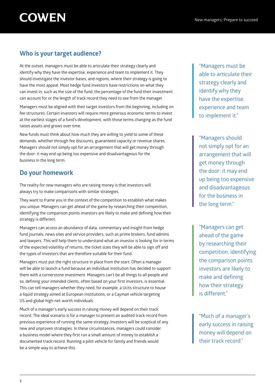### **Who is your target audience?**

At the outset, managers must be able to articulate their strategy clearly and identify why they have the expertise, experience and team to implement it. They should investigate the investor bases, and regions, where their strategy is going to have the most appeal. Most hedge fund investors have restrictions on what they can invest in, such as the size of the fund, the percentage of the fund their investment can account for or the length of track record they need to see from the manager.

Managers must be aligned with their target investors from the beginning, including on fee structures. Certain investors will require more generous economic terms to invest at the earliest stages of a fund's development, with those terms changing as the fund raises assets and grows over time.

New funds must think about how much they are willing to yield to some of these demands, whether through fee discounts, guaranteed capacity or revenue shares. Managers should not simply opt for an arrangement that will get money through the door: it may end up being too expensive and disadvantageous for the business in the long term.

### **Do your homework**

The reality for new managers who are raising money is that investors will always try to make comparisons with similar strategies.

They want to frame you in the context of the competition to establish what makes you unique. Managers can get ahead of the game by researching their competition, identifying the comparison points investors are likely to make and defining how their strategy is different.

Managers can access an abundance of data, commentary and insight from hedge fund journals, news sites and service providers, such as prime brokers, fund admins and lawyers. This will help them to understand what an investor is looking for in terms of the expected volatility of returns, the ticket sizes they will be able to sign off and the types of investors that are therefore suitable for their fund.

Managers must put the right structure in place from the start. Often a manager will be able to launch a fund because an individual institution has decided to support them with a cornerstone investment. Managers can't be all things to all people and so, defining your intended clients, often based on your first investors, is essential. This can tell managers whether they need, for example, a Ucits structure to house a liquid strategy aimed at European institutions, or a Cayman vehicle targeting US and global high-net-worth individuals.

Much of a manager's early success in raising money will depend on their track record. The ideal scenario is for a manager to present an audited track record from previous experience of running the same strategy. Investors will be sceptical of any new and unproven strategies. In these circumstances, managers could consider a business model where they first run a small amount of money to establish a documented track record. Running a pilot vehicle for family and friends would be a simple way to achieve this.

"Managers must be able to articulate their strategy clearly and identify why they have the expertise, experience and team to implement it."

"Managers should not simply opt for an arrangement that will get money through the door: it may end up being too expensive and disadvantageous for the business in the long term."

"Managers can get ahead of the game by researching their competition, identifying the comparison points investors are likely to make and defining how their strategy is different"

"Much of a manager's early success in raising money will depend on their track record."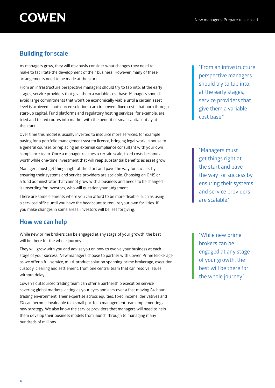### **Building for scale**

As managers grow, they will obviously consider what changes they need to make to facilitate the development of their business. However, many of these arrangements need to be made at the start.

From an infrastructure perspective managers should try to tap into, at the early stages, service providers that give them a variable cost base. Managers should avoid large commitments that won't be economically viable until a certain asset level is achieved – outsourced solutions can circumvent fixed costs that burn through start-up capital. Fund platforms and regulatory hosting services, for example, are tried and tested routes into market with the benefit of small capital outlay at the start.

Over time this model is usually inverted to insource more services, for example paying for a portfolio management system licence, bringing legal work in house to a general counsel, or replacing an external compliance consultant with your own compliance team. Once a manager reaches a certain scale, fixed costs become a worthwhile one-time investment that will reap substantial benefits as asset grow.

Managers must get things right at the start and pave the way for success by ensuring their systems and service providers are scalable. Choosing an OMS or a fund administrator that cannot grow with a business and needs to be changed is unsettling for investors, who will question your judgement.

There are some elements where you can afford to be more flexible, such as using a serviced office until you have the headcount to require your own facilities. If you make changes in some areas, investors will be less forgiving.

### **How we can help**

While new prime brokers can be engaged at any stage of your growth, the best will be there for the whole journey.

They will grow with you and advise you on how to evolve your business at each stage of your success. New managers choose to partner with Cowen Prime Brokerage as we offer a full service, multi-product solution spanning prime brokerage, execution, custody, clearing and settlement, from one central team that can resolve issues without delay.

Cowen's outsourced trading team can offer a partnership execution service covering global markets, acting as your eyes and ears over a fast moving 24-hour trading environment. Their expertise across equities, fixed income, derivatives and FX can become invaluable to a small portfolio management team implementing a new strategy. We also know the service providers that managers will need to help them develop their business models from launch through to managing many hundreds of millions.

"From an infrastructure perspective managers should try to tap into, at the early stages, service providers that give them a variable cost base."

"Managers must get things right at the start and pave the way for success by ensuring their systems and service providers are scalable."

"While new prime brokers can be engaged at any stage of your growth, the best will be there for the whole journey."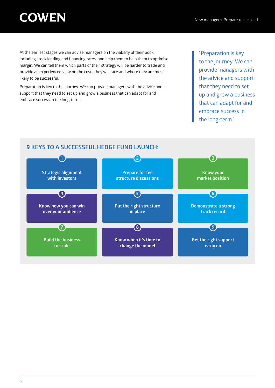At the earliest stages we can advise managers on the viability of their book, including stock lending and financing rates, and help them to help them to optimise margin. We can tell them which parts of their strategy will be harder to trade and provide an experienced view on the costs they will face and where they are most likely to be successful.

Preparation is key to the journey. We can provide managers with the advice and support that they need to set up and grow a business that can adapt for and embrace success in the long-term.

"Preparation is key to the journey. We can provide managers with the advice and support that they need to set up and grow a business that can adapt for and embrace success in the long-term."

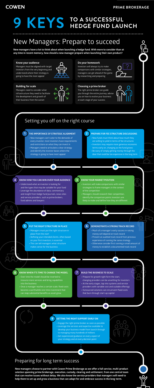### **PRIME BROKERAGE**

## **9 KEYS TO A SUCCESSFUL HEDGE FUND LAUNCH**

## New Managers: Prepare to succeed

## Setting you off on the right course

**New managers have a lot to think about when launching a hedge fund. With more to consider than at any time in recent memory, how should a new manager prepare when launching their own product?**

#### **Know your audience**

Managers must be aligned with target investors from the very beginning and understand where their strategy is going to have the most appeal



#### **Building for scale**

Managers need to consider what infrastructure they need to facilitate the development and growth of their business from the outset



#### **Do your homework**

Investors will always try to make comparisons with similar strategies, managers can get ahead of the game by researching and preparing



#### **Choosing a prime broker**

The right prime broker can guide you through the entire journey, advise you on how to evolve your business at each stage of your success



#### **THE IMPORTANCE OF STRATEGIC ALIGNMENT**

- **•** New managers can't cater to the demands of every investor, most investors have requirements and restrictions on what they can invest in
- **•** Managers need to articulate a clear strategy and identify the investor bases where the strategy is going to have most appeal

**1**

#### **PUT THE RIGHT STRUCTURE IN PLACE**

put the right structure in

place from the start

**5**

#### **GETTING THE RIGHT SUPPORT EARLY ON**

- **•** Engage the right prime broker as soon as possible
- **•** Leverage the services and expertise available to develop your business model from launch through to managing many hundreds of millions
- **•** Get experienced guidance on every aspect of your strategy and at every decision point

**9**

#### **KNOW HOW YOU CAN WIN OVER YOUR AUDIENCE**

- **•** Understand what an investor is looking for and the types that may be suitable for your fund
- **•** Leverage the abundance of data, commentary and insight from hedge fund journals, news sites and service providers, such as prime brokers, fund admins and lawyers

**4**

#### **KNOW WHEN IT'S TIME TO CHANGE THE MODEL**

- **•** Defining your intended clients, often based on your first investors, is essential
- **•** This can tell managers what structure makes sense for the business
- money will depend on track record
- **•** Present an audited track record from previous experience of running the same strategy
- **•** Otherwise consider first running a small amount of money to establish a documented track record

- **•** Over time the model should be inverted to insource more services and bring capabilities into the business
- **•** Once a manager reaches a certain scale, fixed costs become a worthwhile one-time investment that can reap substantial benefits as asset grow

**8**

#### **PREPARE FOR FEE STRUCTURE DISCUSSIONS**

- **•** New funds must think about how much they are willing to yield in terms of fee structures
- **•** Investors may require more generous economic terms early on, changing as the fund grows
- **•** Be wary of simply getting money through the door that could be too expensive in the long term

**2**

### **DEMONSTRATE A STRONG TRACK RECORD**

**•** Much of a manager's early success in raising

**6**

#### **KNOW YOUR MARKET POSITION**

- **•** Investors will make comparisons with similar strategies to frame managers in the context of the competition
- **•** Managers should research their competition, identify the comparison points investors are likely to make and define how they are different

**3**

#### **BUILD THE BUSINESS TO SCALE**

- **•** Prepare for growth right form the start, changing providers can be unsettling for investors
- **•** At the early stages, tap into systems and service providers with variable cost and scalable offerings
- **•** Outsourced solutions can circumvent fixed costs that burn through start-up capital

**7**

### Preparing for long term success

**New managers choose to partner with Cowen Prime Brokerage as we offer a full service, multi-product solution spanning prime brokerage, execution, custody, clearing and settlement, from one central team that can resolve issues without delay. We also know the service providers that managers will need to help them to set up and grow a business that can adapt for and embrace success in the long-term.**